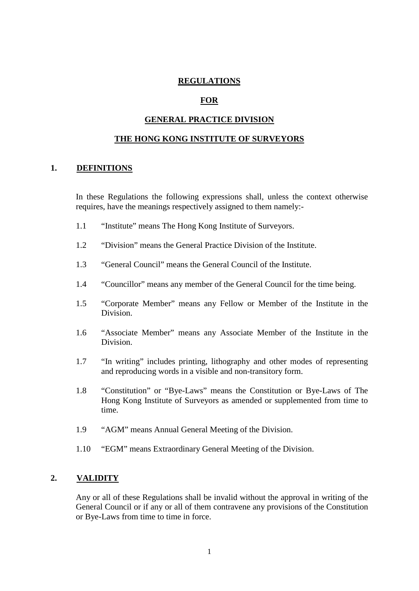### **REGULATIONS**

### **FOR**

### **GENERAL PRACTICE DIVISION**

#### **THE HONG KONG INSTITUTE OF SURVEYORS**

#### **1. DEFINITIONS**

In these Regulations the following expressions shall, unless the context otherwise requires, have the meanings respectively assigned to them namely:-

- 1.1 "Institute" means The Hong Kong Institute of Surveyors.
- 1.2 "Division" means the General Practice Division of the Institute.
- 1.3 "General Council" means the General Council of the Institute.
- 1.4 "Councillor" means any member of the General Council for the time being.
- 1.5 "Corporate Member" means any Fellow or Member of the Institute in the Division.
- 1.6 "Associate Member" means any Associate Member of the Institute in the Division.
- 1.7 "In writing" includes printing, lithography and other modes of representing and reproducing words in a visible and non-transitory form.
- 1.8 "Constitution" or "Bye-Laws" means the Constitution or Bye-Laws of The Hong Kong Institute of Surveyors as amended or supplemented from time to time.
- 1.9 "AGM" means Annual General Meeting of the Division.
- 1.10 "EGM" means Extraordinary General Meeting of the Division.

### **2. VALIDITY**

Any or all of these Regulations shall be invalid without the approval in writing of the General Council or if any or all of them contravene any provisions of the Constitution or Bye-Laws from time to time in force.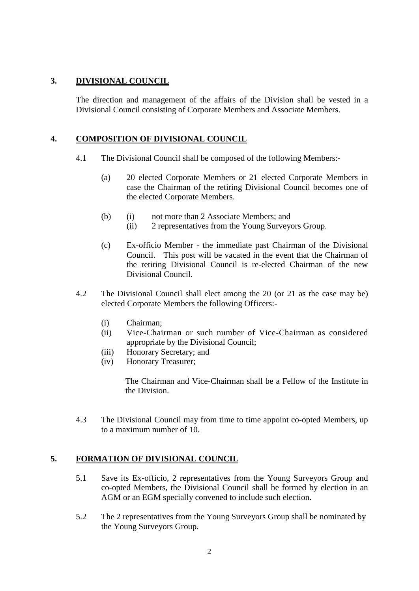# **3. DIVISIONAL COUNCIL**

The direction and management of the affairs of the Division shall be vested in a Divisional Council consisting of Corporate Members and Associate Members.

# **4. COMPOSITION OF DIVISIONAL COUNCIL**

- 4.1 The Divisional Council shall be composed of the following Members:-
	- (a) 20 elected Corporate Members or 21 elected Corporate Members in case the Chairman of the retiring Divisional Council becomes one of the elected Corporate Members.
	- (b) (i) not more than 2 Associate Members; and
		- (ii) 2 representatives from the Young Surveyors Group.
	- (c) Ex-officio Member the immediate past Chairman of the Divisional Council. This post will be vacated in the event that the Chairman of the retiring Divisional Council is re-elected Chairman of the new Divisional Council.
- 4.2 The Divisional Council shall elect among the 20 (or 21 as the case may be) elected Corporate Members the following Officers:-
	- (i) Chairman;
	- (ii) Vice-Chairman or such number of Vice-Chairman as considered appropriate by the Divisional Council;
	- (iii) Honorary Secretary; and
	- (iv) Honorary Treasurer;

The Chairman and Vice-Chairman shall be a Fellow of the Institute in the Division.

4.3 The Divisional Council may from time to time appoint co-opted Members, up to a maximum number of 10.

# **5. FORMATION OF DIVISIONAL COUNCIL**

- 5.1 Save its Ex-officio, 2 representatives from the Young Surveyors Group and co-opted Members, the Divisional Council shall be formed by election in an AGM or an EGM specially convened to include such election.
- 5.2 The 2 representatives from the Young Surveyors Group shall be nominated by the Young Surveyors Group.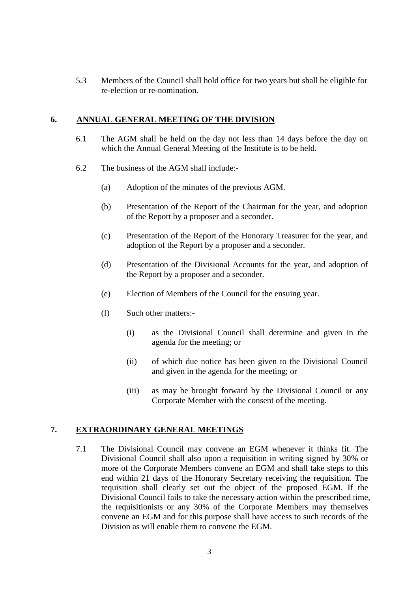5.3 Members of the Council shall hold office for two years but shall be eligible for re-election or re-nomination.

### **6. ANNUAL GENERAL MEETING OF THE DIVISION**

- 6.1 The AGM shall be held on the day not less than 14 days before the day on which the Annual General Meeting of the Institute is to be held.
- 6.2 The business of the AGM shall include:-
	- (a) Adoption of the minutes of the previous AGM.
	- (b) Presentation of the Report of the Chairman for the year, and adoption of the Report by a proposer and a seconder.
	- (c) Presentation of the Report of the Honorary Treasurer for the year, and adoption of the Report by a proposer and a seconder.
	- (d) Presentation of the Divisional Accounts for the year, and adoption of the Report by a proposer and a seconder.
	- (e) Election of Members of the Council for the ensuing year.
	- (f) Such other matters:-
		- (i) as the Divisional Council shall determine and given in the agenda for the meeting; or
		- (ii) of which due notice has been given to the Divisional Council and given in the agenda for the meeting; or
		- (iii) as may be brought forward by the Divisional Council or any Corporate Member with the consent of the meeting.

# **7. EXTRAORDINARY GENERAL MEETINGS**

7.1 The Divisional Council may convene an EGM whenever it thinks fit. The Divisional Council shall also upon a requisition in writing signed by 30% or more of the Corporate Members convene an EGM and shall take steps to this end within 21 days of the Honorary Secretary receiving the requisition. The requisition shall clearly set out the object of the proposed EGM. If the Divisional Council fails to take the necessary action within the prescribed time, the requisitionists or any 30% of the Corporate Members may themselves convene an EGM and for this purpose shall have access to such records of the Division as will enable them to convene the EGM.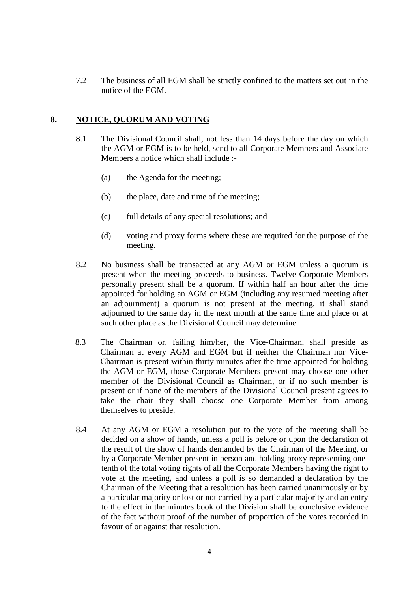7.2 The business of all EGM shall be strictly confined to the matters set out in the notice of the EGM.

## **8. NOTICE, QUORUM AND VOTING**

- 8.1 The Divisional Council shall, not less than 14 days before the day on which the AGM or EGM is to be held, send to all Corporate Members and Associate Members a notice which shall include :-
	- (a) the Agenda for the meeting;
	- (b) the place, date and time of the meeting;
	- (c) full details of any special resolutions; and
	- (d) voting and proxy forms where these are required for the purpose of the meeting.
- 8.2 No business shall be transacted at any AGM or EGM unless a quorum is present when the meeting proceeds to business. Twelve Corporate Members personally present shall be a quorum. If within half an hour after the time appointed for holding an AGM or EGM (including any resumed meeting after an adjournment) a quorum is not present at the meeting, it shall stand adjourned to the same day in the next month at the same time and place or at such other place as the Divisional Council may determine.
- 8.3 The Chairman or, failing him/her, the Vice-Chairman, shall preside as Chairman at every AGM and EGM but if neither the Chairman nor Vice-Chairman is present within thirty minutes after the time appointed for holding the AGM or EGM, those Corporate Members present may choose one other member of the Divisional Council as Chairman, or if no such member is present or if none of the members of the Divisional Council present agrees to take the chair they shall choose one Corporate Member from among themselves to preside.
- 8.4 At any AGM or EGM a resolution put to the vote of the meeting shall be decided on a show of hands, unless a poll is before or upon the declaration of the result of the show of hands demanded by the Chairman of the Meeting, or by a Corporate Member present in person and holding proxy representing onetenth of the total voting rights of all the Corporate Members having the right to vote at the meeting, and unless a poll is so demanded a declaration by the Chairman of the Meeting that a resolution has been carried unanimously or by a particular majority or lost or not carried by a particular majority and an entry to the effect in the minutes book of the Division shall be conclusive evidence of the fact without proof of the number of proportion of the votes recorded in favour of or against that resolution.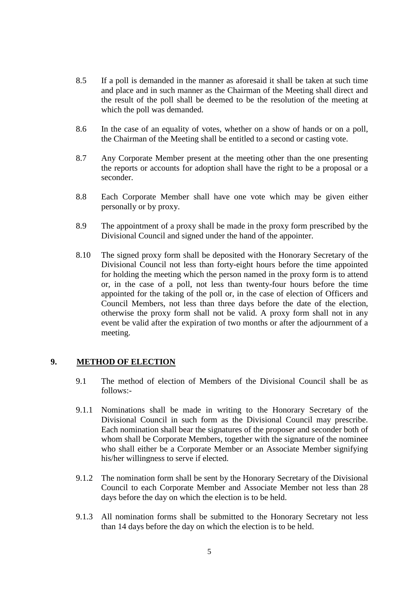- 8.5 If a poll is demanded in the manner as aforesaid it shall be taken at such time and place and in such manner as the Chairman of the Meeting shall direct and the result of the poll shall be deemed to be the resolution of the meeting at which the poll was demanded.
- 8.6 In the case of an equality of votes, whether on a show of hands or on a poll, the Chairman of the Meeting shall be entitled to a second or casting vote.
- 8.7 Any Corporate Member present at the meeting other than the one presenting the reports or accounts for adoption shall have the right to be a proposal or a seconder.
- 8.8 Each Corporate Member shall have one vote which may be given either personally or by proxy.
- 8.9 The appointment of a proxy shall be made in the proxy form prescribed by the Divisional Council and signed under the hand of the appointer.
- 8.10 The signed proxy form shall be deposited with the Honorary Secretary of the Divisional Council not less than forty-eight hours before the time appointed for holding the meeting which the person named in the proxy form is to attend or, in the case of a poll, not less than twenty-four hours before the time appointed for the taking of the poll or, in the case of election of Officers and Council Members, not less than three days before the date of the election, otherwise the proxy form shall not be valid. A proxy form shall not in any event be valid after the expiration of two months or after the adjournment of a meeting.

#### **9. METHOD OF ELECTION**

- 9.1 The method of election of Members of the Divisional Council shall be as follows:-
- 9.1.1 Nominations shall be made in writing to the Honorary Secretary of the Divisional Council in such form as the Divisional Council may prescribe. Each nomination shall bear the signatures of the proposer and seconder both of whom shall be Corporate Members, together with the signature of the nominee who shall either be a Corporate Member or an Associate Member signifying his/her willingness to serve if elected.
- 9.1.2 The nomination form shall be sent by the Honorary Secretary of the Divisional Council to each Corporate Member and Associate Member not less than 28 days before the day on which the election is to be held.
- 9.1.3 All nomination forms shall be submitted to the Honorary Secretary not less than 14 days before the day on which the election is to be held.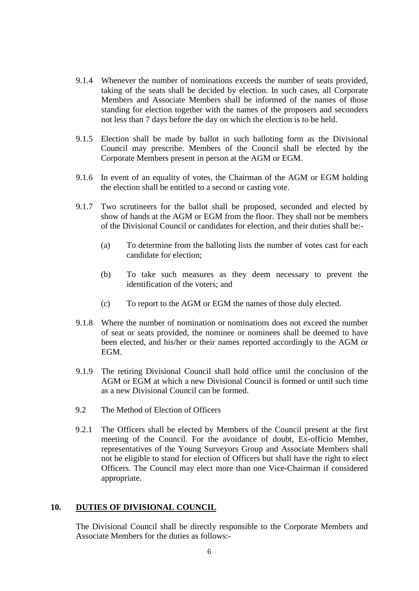- 9.1.4 Whenever the number of nominations exceeds the number of seats provided, taking of the seats shall be decided by election. In such cases, all Corporate Members and Associate Members shall be informed of the names of those standing for election together with the names of the proposers and seconders not less than 7 days before the day on which the election is to be held.
- 9.1.5 Election shall be made by ballot in such balloting form as the Divisional Council may prescribe. Members of the Council shall be elected by the Corporate Members present in person at the AGM or EGM.
- 9.1.6 In event of an equality of votes, the Chairman of the AGM or EGM holding the election shall be entitled to a second or casting vote.
- 9.1.7 Two scrutineers for the ballot shall be proposed, seconded and elected by show of hands at the AGM or EGM from the floor. They shall not be members of the Divisional Council or candidates for election, and their duties shall be:-
	- (a) To determine from the balloting lists the number of votes cast for each candidate for election;
	- (b) To take such measures as they deem necessary to prevent the identification of the voters; and
	- (c) To report to the AGM or EGM the names of those duly elected.
- 9.1.8 Where the number of nomination or nominations does not exceed the number of seat or seats provided, the nominee or nominees shall be deemed to have been elected, and his/her or their names reported accordingly to the AGM or EGM.
- 9.1.9 The retiring Divisional Council shall hold office until the conclusion of the AGM or EGM at which a new Divisional Council is formed or until such time as a new Divisional Council can be formed.
- 9.2 The Method of Election of Officers
- 9.2.1 The Officers shall be elected by Members of the Council present at the first meeting of the Council. For the avoidance of doubt, Ex-officio Member, representatives of the Young Surveyors Group and Associate Members shall not be eligible to stand for election of Officers but shall have the right to elect Officers. The Council may elect more than one Vice-Chairman if considered appropriate.

#### **10. DUTIES OF DIVISIONAL COUNCIL**

The Divisional Council shall be directly responsible to the Corporate Members and Associate Members for the duties as follows:-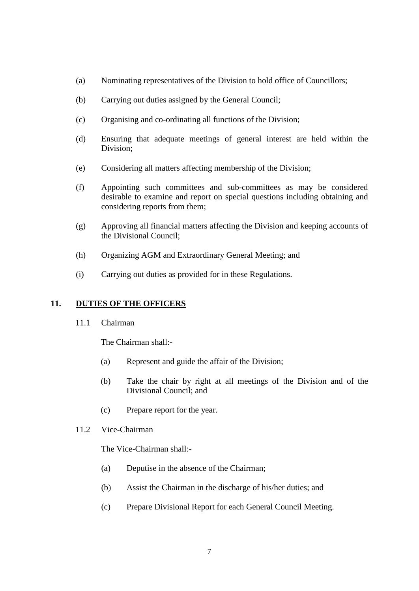- (a) Nominating representatives of the Division to hold office of Councillors;
- (b) Carrying out duties assigned by the General Council;
- (c) Organising and co-ordinating all functions of the Division;
- (d) Ensuring that adequate meetings of general interest are held within the Division;
- (e) Considering all matters affecting membership of the Division;
- (f) Appointing such committees and sub-committees as may be considered desirable to examine and report on special questions including obtaining and considering reports from them;
- (g) Approving all financial matters affecting the Division and keeping accounts of the Divisional Council;
- (h) Organizing AGM and Extraordinary General Meeting; and
- (i) Carrying out duties as provided for in these Regulations.

# **11. DUTIES OF THE OFFICERS**

11.1 Chairman

The Chairman shall:-

- (a) Represent and guide the affair of the Division;
- (b) Take the chair by right at all meetings of the Division and of the Divisional Council; and
- (c) Prepare report for the year.
- 11.2 Vice-Chairman

The Vice-Chairman shall:-

- (a) Deputise in the absence of the Chairman;
- (b) Assist the Chairman in the discharge of his/her duties; and
- (c) Prepare Divisional Report for each General Council Meeting.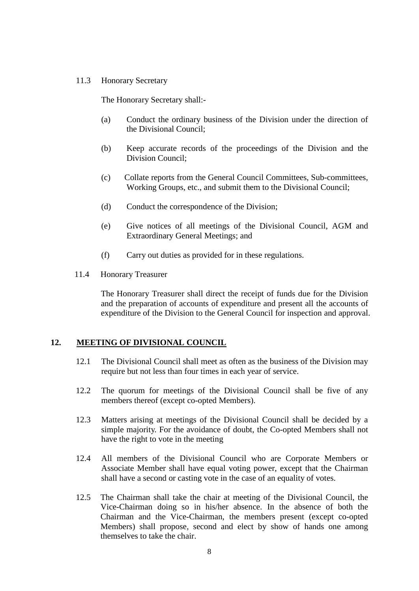#### 11.3 Honorary Secretary

The Honorary Secretary shall:-

- (a) Conduct the ordinary business of the Division under the direction of the Divisional Council;
- (b) Keep accurate records of the proceedings of the Division and the Division Council;
- (c) Collate reports from the General Council Committees, Sub-committees, Working Groups, etc., and submit them to the Divisional Council;
- (d) Conduct the correspondence of the Division;
- (e) Give notices of all meetings of the Divisional Council, AGM and Extraordinary General Meetings; and
- (f) Carry out duties as provided for in these regulations.
- 11.4 Honorary Treasurer

The Honorary Treasurer shall direct the receipt of funds due for the Division and the preparation of accounts of expenditure and present all the accounts of expenditure of the Division to the General Council for inspection and approval.

#### **12. MEETING OF DIVISIONAL COUNCIL**

- 12.1 The Divisional Council shall meet as often as the business of the Division may require but not less than four times in each year of service.
- 12.2 The quorum for meetings of the Divisional Council shall be five of any members thereof (except co-opted Members).
- 12.3 Matters arising at meetings of the Divisional Council shall be decided by a simple majority. For the avoidance of doubt, the Co-opted Members shall not have the right to vote in the meeting
- 12.4 All members of the Divisional Council who are Corporate Members or Associate Member shall have equal voting power, except that the Chairman shall have a second or casting vote in the case of an equality of votes.
- 12.5 The Chairman shall take the chair at meeting of the Divisional Council, the Vice-Chairman doing so in his/her absence. In the absence of both the Chairman and the Vice-Chairman, the members present (except co-opted Members) shall propose, second and elect by show of hands one among themselves to take the chair.